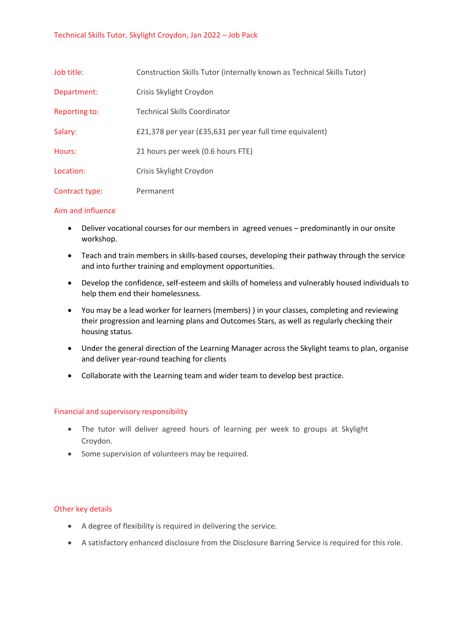| Job title:     | Construction Skills Tutor (internally known as Technical Skills Tutor) |
|----------------|------------------------------------------------------------------------|
| Department:    | Crisis Skylight Croydon                                                |
| Reporting to:  | <b>Technical Skills Coordinator</b>                                    |
| Salary:        | £21,378 per year (£35,631 per year full time equivalent)               |
| Hours:         | 21 hours per week (0.6 hours FTE)                                      |
| Location:      | Crisis Skylight Croydon                                                |
| Contract type: | Permanent                                                              |

### Aim and influence

- Deliver vocational courses for our members in agreed venues predominantly in our onsite workshop.
- Teach and train members in skills-based courses, developing their pathway through the service and into further training and employment opportunities.
- Develop the confidence, self-esteem and skills of homeless and vulnerably housed individuals to help them end their homelessness.
- You may be a lead worker for learners (members) ) in your classes, completing and reviewing their progression and learning plans and Outcomes Stars, as well as regularly checking their housing status.
- Under the general direction of the Learning Manager across the Skylight teams to plan, organise and deliver year-round teaching for clients
- Collaborate with the Learning team and wider team to develop best practice.

# Financial and supervisory responsibility

- The tutor will deliver agreed hours of learning per week to groups at Skylight Croydon.
- Some supervision of volunteers may be required.

# Other key details

- A degree of flexibility is required in delivering the service.
- A satisfactory enhanced disclosure from the Disclosure Barring Service is required for this role.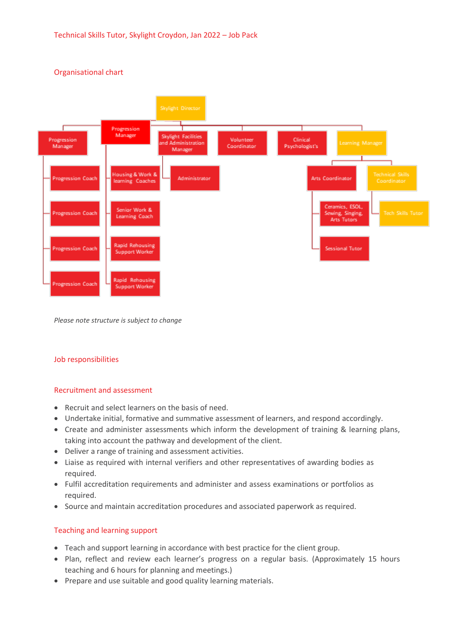# Organisational chart



*Please note structure is subject to change*

# Job responsibilities

### Recruitment and assessment

- Recruit and select learners on the basis of need.
- Undertake initial, formative and summative assessment of learners, and respond accordingly.
- Create and administer assessments which inform the development of training & learning plans, taking into account the pathway and development of the client.
- Deliver a range of training and assessment activities.
- Liaise as required with internal verifiers and other representatives of awarding bodies as required.
- Fulfil accreditation requirements and administer and assess examinations or portfolios as required.
- Source and maintain accreditation procedures and associated paperwork as required.

# Teaching and learning support

- Teach and support learning in accordance with best practice for the client group.
- Plan, reflect and review each learner's progress on a regular basis. (Approximately 15 hours teaching and 6 hours for planning and meetings.)
- Prepare and use suitable and good quality learning materials.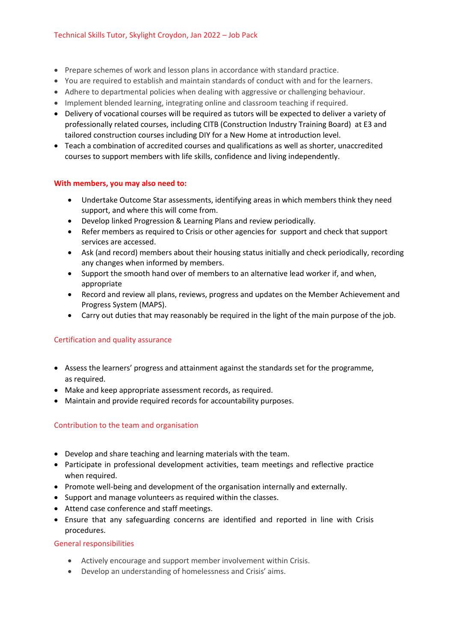- Prepare schemes of work and lesson plans in accordance with standard practice.
- You are required to establish and maintain standards of conduct with and for the learners.
- Adhere to departmental policies when dealing with aggressive or challenging behaviour.
- Implement blended learning, integrating online and classroom teaching if required.
- Delivery of vocational courses will be required as tutors will be expected to deliver a variety of professionally related courses, including CITB (Construction Industry Training Board) at E3 and tailored construction courses including DIY for a New Home at introduction level.
- Teach a combination of accredited courses and qualifications as well as shorter, unaccredited courses to support members with life skills, confidence and living independently.

# **With members, you may also need to:**

- Undertake Outcome Star assessments, identifying areas in which members think they need support, and where this will come from.
- Develop linked Progression & Learning Plans and review periodically.
- Refer members as required to Crisis or other agencies for support and check that support services are accessed.
- Ask (and record) members about their housing status initially and check periodically, recording any changes when informed by members.
- Support the smooth hand over of members to an alternative lead worker if, and when, appropriate
- Record and review all plans, reviews, progress and updates on the Member Achievement and Progress System (MAPS).
- Carry out duties that may reasonably be required in the light of the main purpose of the job.

# Certification and quality assurance

- Assess the learners' progress and attainment against the standards set for the programme, as required.
- Make and keep appropriate assessment records, as required.
- Maintain and provide required records for accountability purposes.

# Contribution to the team and organisation

- Develop and share teaching and learning materials with the team.
- Participate in professional development activities, team meetings and reflective practice when required.
- Promote well-being and development of the organisation internally and externally.
- Support and manage volunteers as required within the classes.
- Attend case conference and staff meetings.
- Ensure that any safeguarding concerns are identified and reported in line with Crisis procedures.

# General responsibilities

- Actively encourage and support member involvement within Crisis.
- Develop an understanding of homelessness and Crisis' aims.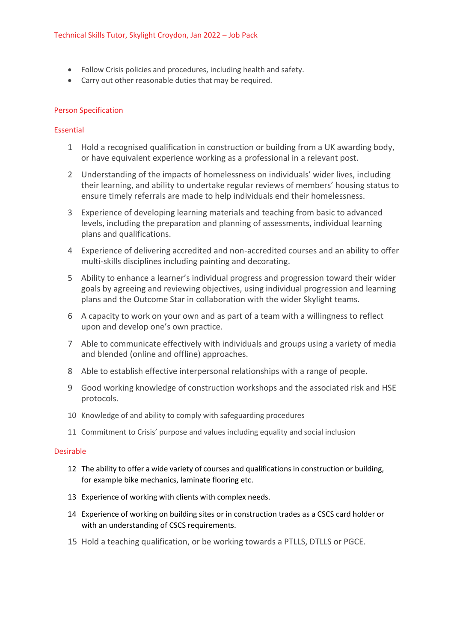- Follow Crisis policies and procedures, including health and safety.
- Carry out other reasonable duties that may be required.

# Person Specification

# Essential

- 1 Hold a recognised qualification in construction or building from a UK awarding body, or have equivalent experience working as a professional in a relevant post.
- 2 Understanding of the impacts of homelessness on individuals' wider lives, including their learning, and ability to undertake regular reviews of members' housing status to ensure timely referrals are made to help individuals end their homelessness.
- 3 Experience of developing learning materials and teaching from basic to advanced levels, including the preparation and planning of assessments, individual learning plans and qualifications.
- 4 Experience of delivering accredited and non-accredited courses and an ability to offer multi-skills disciplines including painting and decorating.
- 5 Ability to enhance a learner's individual progress and progression toward their wider goals by agreeing and reviewing objectives, using individual progression and learning plans and the Outcome Star in collaboration with the wider Skylight teams.
- 6 A capacity to work on your own and as part of a team with a willingness to reflect upon and develop one's own practice.
- 7 Able to communicate effectively with individuals and groups using a variety of media and blended (online and offline) approaches.
- 8 Able to establish effective interpersonal relationships with a range of people.
- 9 Good working knowledge of construction workshops and the associated risk and HSE protocols.
- 10 Knowledge of and ability to comply with safeguarding procedures
- 11 Commitment to Crisis' purpose and values including equality and social inclusion

# Desirable

- 12 The ability to offer a wide variety of courses and qualifications in construction or building, for example bike mechanics, laminate flooring etc.
- 13 Experience of working with clients with complex needs.
- 14 Experience of working on building sites or in construction trades as a CSCS card holder or with an understanding of CSCS requirements.
- 15 Hold a teaching qualification, or be working towards a PTLLS, DTLLS or PGCE.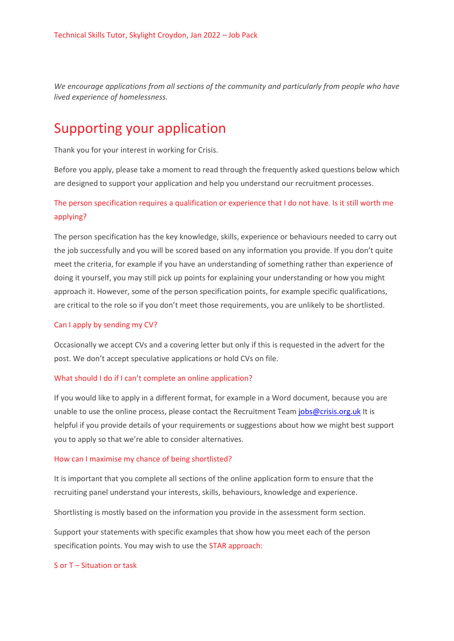*We encourage applications from all sections of the community and particularly from people who have lived experience of homelessness.*

# Supporting your application

Thank you for your interest in working for Crisis.

Before you apply, please take a moment to read through the frequently asked questions below which are designed to support your application and help you understand our recruitment processes.

# The person specification requires a qualification or experience that I do not have. Is it still worth me applying?

The person specification has the key knowledge, skills, experience or behaviours needed to carry out the job successfully and you will be scored based on any information you provide. If you don't quite meet the criteria, for example if you have an understanding of something rather than experience of doing it yourself, you may still pick up points for explaining your understanding or how you might approach it. However, some of the person specification points, for example specific qualifications, are critical to the role so if you don't meet those requirements, you are unlikely to be shortlisted.

# Can I apply by sending my CV?

Occasionally we accept CVs and a covering letter but only if this is requested in the advert for the post. We don't accept speculative applications or hold CVs on file.

### What should I do if I can't complete an online application?

If you would like to apply in a different format, for example in a Word document, because you are unable to use the online process, please contact the Recruitment Tea[m jobs@crisis.org.uk](http://#) It is helpful if you provide details of your requirements or suggestions about how we might best support you to apply so that we're able to consider alternatives.

### How can I maximise my chance of being shortlisted?

It is important that you complete all sections of the online application form to ensure that the recruiting panel understand your interests, skills, behaviours, knowledge and experience.

Shortlisting is mostly based on the information you provide in the assessment form section.

Support your statements with specific examples that show how you meet each of the person specification points. You may wish to use the STAR approach:

S or T – Situation or task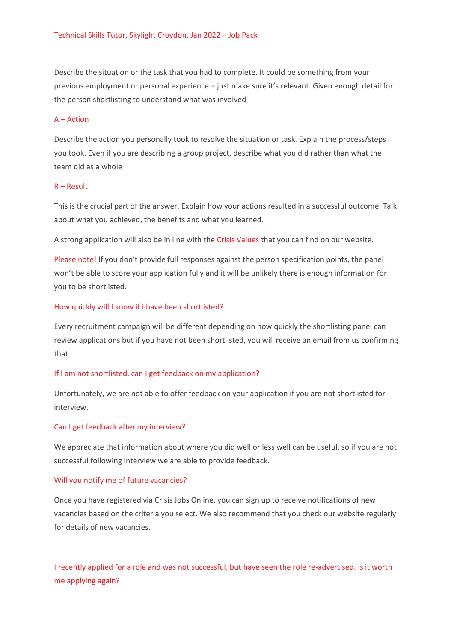Describe the situation or the task that you had to complete. It could be something from your previous employment or personal experience – just make sure it's relevant. Given enough detail for the person shortlisting to understand what was involved

### A – Action

Describe the action you personally took to resolve the situation or task. Explain the process/steps you took. Even if you are describing a group project, describe what you did rather than what the team did as a whole

### R – Result

This is the crucial part of the answer. Explain how your actions resulted in a successful outcome. Talk about what you achieved, the benefits and what you learned.

A strong application will also be in line with the Crisis Values that you can find on our website.

Please note! If you don't provide full responses against the person specification points, the panel won't be able to score your application fully and it will be unlikely there is enough information for you to be shortlisted.

### How quickly will I know if I have been shortlisted?

Every recruitment campaign will be different depending on how quickly the shortlisting panel can review applications but if you have not been shortlisted, you will receive an email from us confirming that.

# If I am not shortlisted, can I get feedback on my application?

Unfortunately, we are not able to offer feedback on your application if you are not shortlisted for interview.

### Can I get feedback after my interview?

We appreciate that information about where you did well or less well can be useful, so if you are not successful following interview we are able to provide feedback.

# Will you notify me of future vacancies?

Once you have registered via Crisis Jobs Online, you can sign up to receive notifications of new vacancies based on the criteria you select. We also recommend that you check our website regularly for details of new vacancies.

I recently applied for a role and was not successful, but have seen the role re-advertised. Is it worth me applying again?